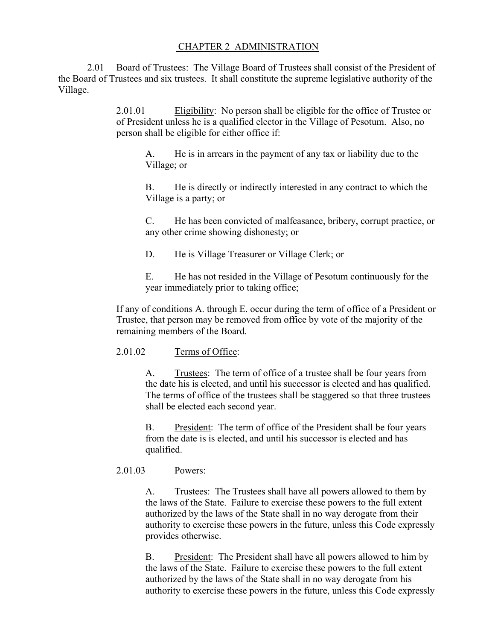## CHAPTER 2 ADMINISTRATION

2.01 Board of Trustees: The Village Board of Trustees shall consist of the President of the Board of Trustees and six trustees. It shall constitute the supreme legislative authority of the Village.

> 2.01.01 Eligibility: No person shall be eligible for the office of Trustee or of President unless he is a qualified elector in the Village of Pesotum. Also, no person shall be eligible for either office if:

A. He is in arrears in the payment of any tax or liability due to the Village; or

B. He is directly or indirectly interested in any contract to which the Village is a party; or

C. He has been convicted of malfeasance, bribery, corrupt practice, or any other crime showing dishonesty; or

D. He is Village Treasurer or Village Clerk; or

E. He has not resided in the Village of Pesotum continuously for the year immediately prior to taking office;

If any of conditions A. through E. occur during the term of office of a President or Trustee, that person may be removed from office by vote of the majority of the remaining members of the Board.

## 2.01.02 Terms of Office:

A. Trustees: The term of office of a trustee shall be four years from the date his is elected, and until his successor is elected and has qualified. The terms of office of the trustees shall be staggered so that three trustees shall be elected each second year.

B. President: The term of office of the President shall be four years from the date is is elected, and until his successor is elected and has qualified.

## 2.01.03 Powers:

A. Trustees: The Trustees shall have all powers allowed to them by the laws of the State. Failure to exercise these powers to the full extent authorized by the laws of the State shall in no way derogate from their authority to exercise these powers in the future, unless this Code expressly provides otherwise.

B. President: The President shall have all powers allowed to him by the laws of the State. Failure to exercise these powers to the full extent authorized by the laws of the State shall in no way derogate from his authority to exercise these powers in the future, unless this Code expressly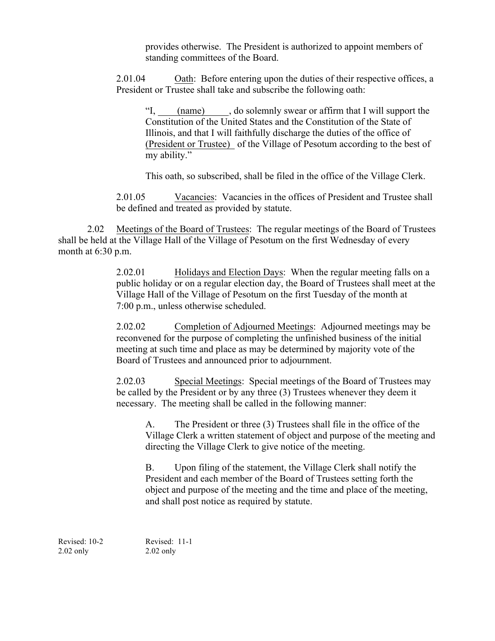provides otherwise. The President is authorized to appoint members of standing committees of the Board.

2.01.04 Oath: Before entering upon the duties of their respective offices, a President or Trustee shall take and subscribe the following oath:

"I, (name) , do solemnly swear or affirm that I will support the Constitution of the United States and the Constitution of the State of Illinois, and that I will faithfully discharge the duties of the office of (President or Trustee) of the Village of Pesotum according to the best of my ability."

This oath, so subscribed, shall be filed in the office of the Village Clerk.

2.01.05 Vacancies: Vacancies in the offices of President and Trustee shall be defined and treated as provided by statute.

2.02 Meetings of the Board of Trustees: The regular meetings of the Board of Trustees shall be held at the Village Hall of the Village of Pesotum on the first Wednesday of every month at 6:30 p.m.

> 2.02.01 Holidays and Election Days: When the regular meeting falls on a public holiday or on a regular election day, the Board of Trustees shall meet at the Village Hall of the Village of Pesotum on the first Tuesday of the month at 7:00 p.m., unless otherwise scheduled.

2.02.02 Completion of Adjourned Meetings: Adjourned meetings may be reconvened for the purpose of completing the unfinished business of the initial meeting at such time and place as may be determined by majority vote of the Board of Trustees and announced prior to adjournment.

2.02.03 Special Meetings: Special meetings of the Board of Trustees may be called by the President or by any three (3) Trustees whenever they deem it necessary. The meeting shall be called in the following manner:

A. The President or three (3) Trustees shall file in the office of the Village Clerk a written statement of object and purpose of the meeting and directing the Village Clerk to give notice of the meeting.

B. Upon filing of the statement, the Village Clerk shall notify the President and each member of the Board of Trustees setting forth the object and purpose of the meeting and the time and place of the meeting, and shall post notice as required by statute.

Revised: 10-2 Revised: 11-1 2.02 only 2.02 only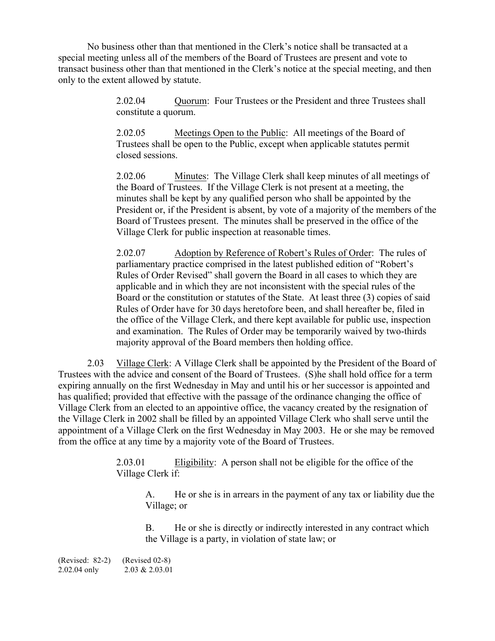No business other than that mentioned in the Clerk's notice shall be transacted at a special meeting unless all of the members of the Board of Trustees are present and vote to transact business other than that mentioned in the Clerk's notice at the special meeting, and then only to the extent allowed by statute.

> 2.02.04 Quorum: Four Trustees or the President and three Trustees shall constitute a quorum.

2.02.05 Meetings Open to the Public: All meetings of the Board of Trustees shall be open to the Public, except when applicable statutes permit closed sessions.

2.02.06 Minutes: The Village Clerk shall keep minutes of all meetings of the Board of Trustees. If the Village Clerk is not present at a meeting, the minutes shall be kept by any qualified person who shall be appointed by the President or, if the President is absent, by vote of a majority of the members of the Board of Trustees present. The minutes shall be preserved in the office of the Village Clerk for public inspection at reasonable times.

2.02.07 Adoption by Reference of Robert's Rules of Order: The rules of parliamentary practice comprised in the latest published edition of "Robert's Rules of Order Revised" shall govern the Board in all cases to which they are applicable and in which they are not inconsistent with the special rules of the Board or the constitution or statutes of the State. At least three (3) copies of said Rules of Order have for 30 days heretofore been, and shall hereafter be, filed in the office of the Village Clerk, and there kept available for public use, inspection and examination. The Rules of Order may be temporarily waived by two-thirds majority approval of the Board members then holding office.

2.03 Village Clerk: A Village Clerk shall be appointed by the President of the Board of Trustees with the advice and consent of the Board of Trustees. (S)he shall hold office for a term expiring annually on the first Wednesday in May and until his or her successor is appointed and has qualified; provided that effective with the passage of the ordinance changing the office of Village Clerk from an elected to an appointive office, the vacancy created by the resignation of the Village Clerk in 2002 shall be filled by an appointed Village Clerk who shall serve until the appointment of a Village Clerk on the first Wednesday in May 2003. He or she may be removed from the office at any time by a majority vote of the Board of Trustees.

> 2.03.01 Eligibility: A person shall not be eligible for the office of the Village Clerk if:

A. He or she is in arrears in the payment of any tax or liability due the Village; or

B. He or she is directly or indirectly interested in any contract which the Village is a party, in violation of state law; or

(Revised: 82-2) (Revised 02-8) 2.02.04 only 2.03 & 2.03.01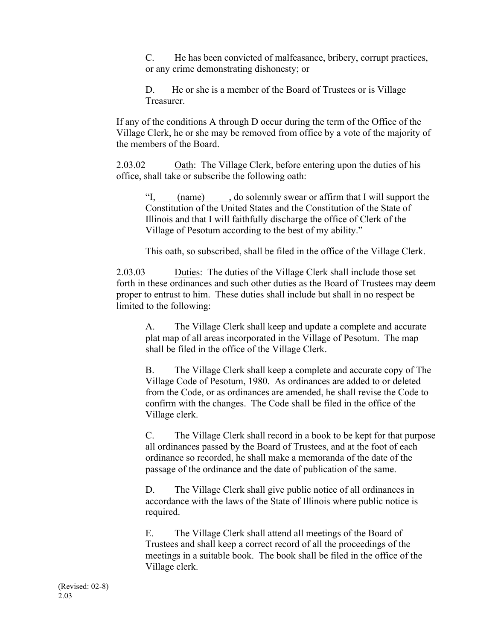C. He has been convicted of malfeasance, bribery, corrupt practices, or any crime demonstrating dishonesty; or

D. He or she is a member of the Board of Trustees or is Village Treasurer.

If any of the conditions A through D occur during the term of the Office of the Village Clerk, he or she may be removed from office by a vote of the majority of the members of the Board.

2.03.02 Oath: The Village Clerk, before entering upon the duties of his office, shall take or subscribe the following oath:

"I, (name) , do solemnly swear or affirm that I will support the Constitution of the United States and the Constitution of the State of Illinois and that I will faithfully discharge the office of Clerk of the Village of Pesotum according to the best of my ability."

This oath, so subscribed, shall be filed in the office of the Village Clerk.

2.03.03 Duties: The duties of the Village Clerk shall include those set forth in these ordinances and such other duties as the Board of Trustees may deem proper to entrust to him. These duties shall include but shall in no respect be limited to the following:

A. The Village Clerk shall keep and update a complete and accurate plat map of all areas incorporated in the Village of Pesotum. The map shall be filed in the office of the Village Clerk.

B. The Village Clerk shall keep a complete and accurate copy of The Village Code of Pesotum, 1980. As ordinances are added to or deleted from the Code, or as ordinances are amended, he shall revise the Code to confirm with the changes. The Code shall be filed in the office of the Village clerk.

C. The Village Clerk shall record in a book to be kept for that purpose all ordinances passed by the Board of Trustees, and at the foot of each ordinance so recorded, he shall make a memoranda of the date of the passage of the ordinance and the date of publication of the same.

D. The Village Clerk shall give public notice of all ordinances in accordance with the laws of the State of Illinois where public notice is required.

E. The Village Clerk shall attend all meetings of the Board of Trustees and shall keep a correct record of all the proceedings of the meetings in a suitable book. The book shall be filed in the office of the Village clerk.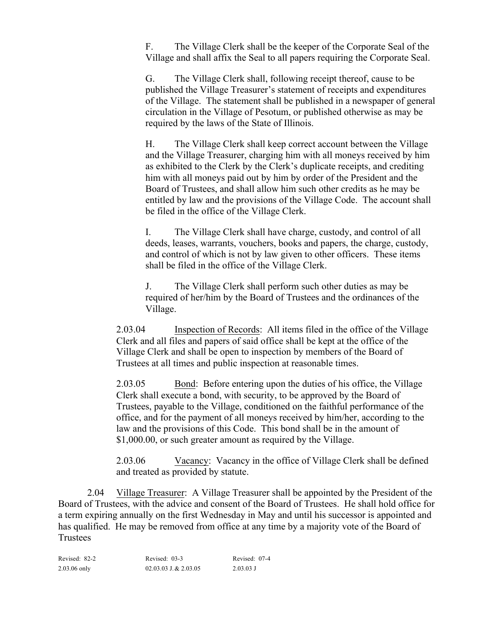F. The Village Clerk shall be the keeper of the Corporate Seal of the Village and shall affix the Seal to all papers requiring the Corporate Seal.

G. The Village Clerk shall, following receipt thereof, cause to be published the Village Treasurer's statement of receipts and expenditures of the Village. The statement shall be published in a newspaper of general circulation in the Village of Pesotum, or published otherwise as may be required by the laws of the State of Illinois.

H. The Village Clerk shall keep correct account between the Village and the Village Treasurer, charging him with all moneys received by him as exhibited to the Clerk by the Clerk's duplicate receipts, and crediting him with all moneys paid out by him by order of the President and the Board of Trustees, and shall allow him such other credits as he may be entitled by law and the provisions of the Village Code. The account shall be filed in the office of the Village Clerk.

I. The Village Clerk shall have charge, custody, and control of all deeds, leases, warrants, vouchers, books and papers, the charge, custody, and control of which is not by law given to other officers. These items shall be filed in the office of the Village Clerk.

J. The Village Clerk shall perform such other duties as may be required of her/him by the Board of Trustees and the ordinances of the Village.

2.03.04 Inspection of Records: All items filed in the office of the Village Clerk and all files and papers of said office shall be kept at the office of the Village Clerk and shall be open to inspection by members of the Board of Trustees at all times and public inspection at reasonable times.

2.03.05 Bond: Before entering upon the duties of his office, the Village Clerk shall execute a bond, with security, to be approved by the Board of Trustees, payable to the Village, conditioned on the faithful performance of the office, and for the payment of all moneys received by him/her, according to the law and the provisions of this Code. This bond shall be in the amount of \$1,000.00, or such greater amount as required by the Village.

2.03.06 Vacancy: Vacancy in the office of Village Clerk shall be defined and treated as provided by statute.

2.04 Village Treasurer: A Village Treasurer shall be appointed by the President of the Board of Trustees, with the advice and consent of the Board of Trustees. He shall hold office for a term expiring annually on the first Wednesday in May and until his successor is appointed and has qualified. He may be removed from office at any time by a majority vote of the Board of Trustees

| Revised: 82-2  | Revised: 03-3             | Revised: 07-4 |
|----------------|---------------------------|---------------|
| $2.03.06$ only | $02.03.03$ J. & $2.03.05$ | $2.03.03$ J   |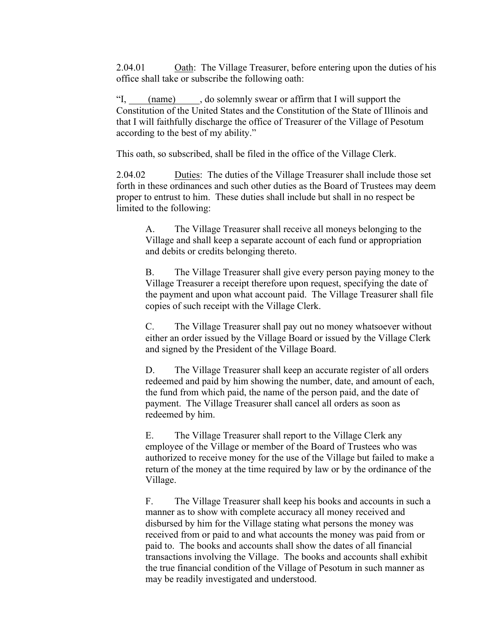2.04.01 Oath: The Village Treasurer, before entering upon the duties of his office shall take or subscribe the following oath:

"I, (name) , do solemnly swear or affirm that I will support the Constitution of the United States and the Constitution of the State of Illinois and that I will faithfully discharge the office of Treasurer of the Village of Pesotum according to the best of my ability."

This oath, so subscribed, shall be filed in the office of the Village Clerk.

2.04.02 Duties: The duties of the Village Treasurer shall include those set forth in these ordinances and such other duties as the Board of Trustees may deem proper to entrust to him. These duties shall include but shall in no respect be limited to the following:

A. The Village Treasurer shall receive all moneys belonging to the Village and shall keep a separate account of each fund or appropriation and debits or credits belonging thereto.

B. The Village Treasurer shall give every person paying money to the Village Treasurer a receipt therefore upon request, specifying the date of the payment and upon what account paid. The Village Treasurer shall file copies of such receipt with the Village Clerk.

C. The Village Treasurer shall pay out no money whatsoever without either an order issued by the Village Board or issued by the Village Clerk and signed by the President of the Village Board.

D. The Village Treasurer shall keep an accurate register of all orders redeemed and paid by him showing the number, date, and amount of each, the fund from which paid, the name of the person paid, and the date of payment. The Village Treasurer shall cancel all orders as soon as redeemed by him.

E. The Village Treasurer shall report to the Village Clerk any employee of the Village or member of the Board of Trustees who was authorized to receive money for the use of the Village but failed to make a return of the money at the time required by law or by the ordinance of the Village.

F. The Village Treasurer shall keep his books and accounts in such a manner as to show with complete accuracy all money received and disbursed by him for the Village stating what persons the money was received from or paid to and what accounts the money was paid from or paid to. The books and accounts shall show the dates of all financial transactions involving the Village. The books and accounts shall exhibit the true financial condition of the Village of Pesotum in such manner as may be readily investigated and understood.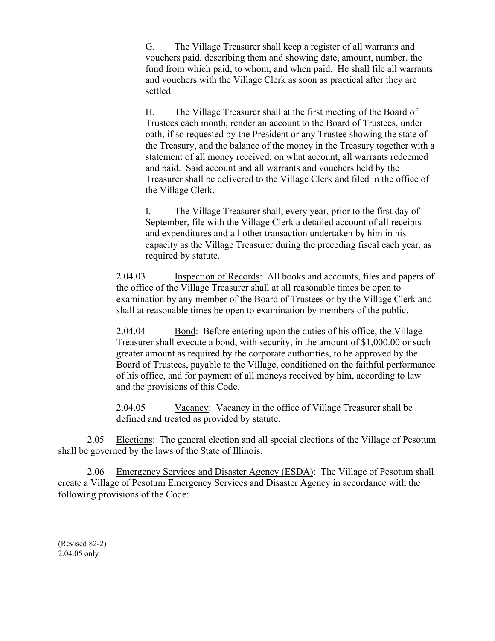G. The Village Treasurer shall keep a register of all warrants and vouchers paid, describing them and showing date, amount, number, the fund from which paid, to whom, and when paid. He shall file all warrants and vouchers with the Village Clerk as soon as practical after they are settled.

H. The Village Treasurer shall at the first meeting of the Board of Trustees each month, render an account to the Board of Trustees, under oath, if so requested by the President or any Trustee showing the state of the Treasury, and the balance of the money in the Treasury together with a statement of all money received, on what account, all warrants redeemed and paid. Said account and all warrants and vouchers held by the Treasurer shall be delivered to the Village Clerk and filed in the office of the Village Clerk.

I. The Village Treasurer shall, every year, prior to the first day of September, file with the Village Clerk a detailed account of all receipts and expenditures and all other transaction undertaken by him in his capacity as the Village Treasurer during the preceding fiscal each year, as required by statute.

2.04.03 Inspection of Records: All books and accounts, files and papers of the office of the Village Treasurer shall at all reasonable times be open to examination by any member of the Board of Trustees or by the Village Clerk and shall at reasonable times be open to examination by members of the public.

2.04.04 Bond: Before entering upon the duties of his office, the Village Treasurer shall execute a bond, with security, in the amount of \$1,000.00 or such greater amount as required by the corporate authorities, to be approved by the Board of Trustees, payable to the Village, conditioned on the faithful performance of his office, and for payment of all moneys received by him, according to law and the provisions of this Code.

2.04.05 Vacancy: Vacancy in the office of Village Treasurer shall be defined and treated as provided by statute.

2.05 Elections: The general election and all special elections of the Village of Pesotum shall be governed by the laws of the State of Illinois.

2.06 Emergency Services and Disaster Agency (ESDA): The Village of Pesotum shall create a Village of Pesotum Emergency Services and Disaster Agency in accordance with the following provisions of the Code:

(Revised 82-2) 2.04.05 only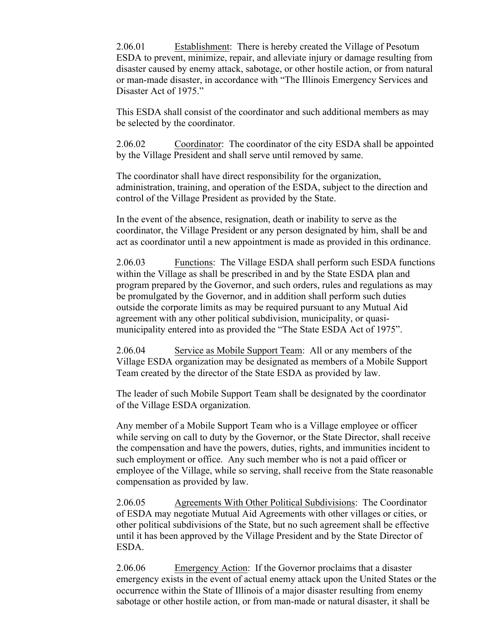2.06.01 Establishment: There is hereby created the Village of Pesotum ESDA to prevent, minimize, repair, and alleviate injury or damage resulting from disaster caused by enemy attack, sabotage, or other hostile action, or from natural or man-made disaster, in accordance with "The Illinois Emergency Services and Disaster Act of 1975."

This ESDA shall consist of the coordinator and such additional members as may be selected by the coordinator.

2.06.02 Coordinator: The coordinator of the city ESDA shall be appointed by the Village President and shall serve until removed by same.

The coordinator shall have direct responsibility for the organization, administration, training, and operation of the ESDA, subject to the direction and control of the Village President as provided by the State.

In the event of the absence, resignation, death or inability to serve as the coordinator, the Village President or any person designated by him, shall be and act as coordinator until a new appointment is made as provided in this ordinance.

2.06.03 Functions: The Village ESDA shall perform such ESDA functions within the Village as shall be prescribed in and by the State ESDA plan and program prepared by the Governor, and such orders, rules and regulations as may be promulgated by the Governor, and in addition shall perform such duties outside the corporate limits as may be required pursuant to any Mutual Aid agreement with any other political subdivision, municipality, or quasimunicipality entered into as provided the "The State ESDA Act of 1975".

2.06.04 Service as Mobile Support Team: All or any members of the Village ESDA organization may be designated as members of a Mobile Support Team created by the director of the State ESDA as provided by law.

The leader of such Mobile Support Team shall be designated by the coordinator of the Village ESDA organization.

Any member of a Mobile Support Team who is a Village employee or officer while serving on call to duty by the Governor, or the State Director, shall receive the compensation and have the powers, duties, rights, and immunities incident to such employment or office. Any such member who is not a paid officer or employee of the Village, while so serving, shall receive from the State reasonable compensation as provided by law.

2.06.05 Agreements With Other Political Subdivisions: The Coordinator of ESDA may negotiate Mutual Aid Agreements with other villages or cities, or other political subdivisions of the State, but no such agreement shall be effective until it has been approved by the Village President and by the State Director of ESDA.

2.06.06 Emergency Action: If the Governor proclaims that a disaster emergency exists in the event of actual enemy attack upon the United States or the occurrence within the State of Illinois of a major disaster resulting from enemy sabotage or other hostile action, or from man-made or natural disaster, it shall be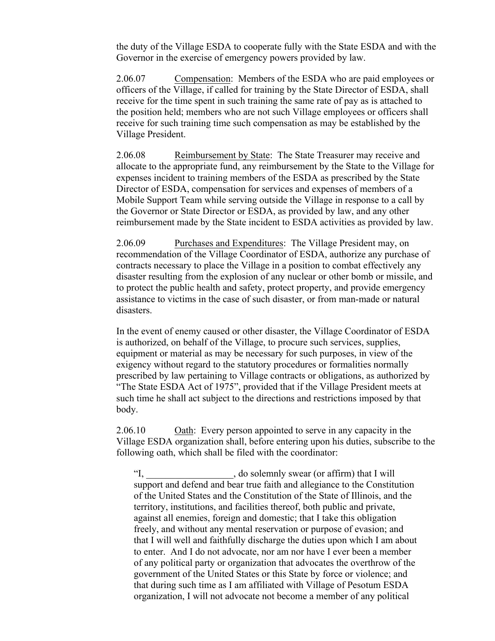the duty of the Village ESDA to cooperate fully with the State ESDA and with the Governor in the exercise of emergency powers provided by law.

2.06.07 Compensation: Members of the ESDA who are paid employees or officers of the Village, if called for training by the State Director of ESDA, shall receive for the time spent in such training the same rate of pay as is attached to the position held; members who are not such Village employees or officers shall receive for such training time such compensation as may be established by the Village President.

2.06.08 Reimbursement by State: The State Treasurer may receive and allocate to the appropriate fund, any reimbursement by the State to the Village for expenses incident to training members of the ESDA as prescribed by the State Director of ESDA, compensation for services and expenses of members of a Mobile Support Team while serving outside the Village in response to a call by the Governor or State Director or ESDA, as provided by law, and any other reimbursement made by the State incident to ESDA activities as provided by law.

2.06.09 Purchases and Expenditures: The Village President may, on recommendation of the Village Coordinator of ESDA, authorize any purchase of contracts necessary to place the Village in a position to combat effectively any disaster resulting from the explosion of any nuclear or other bomb or missile, and to protect the public health and safety, protect property, and provide emergency assistance to victims in the case of such disaster, or from man-made or natural disasters.

In the event of enemy caused or other disaster, the Village Coordinator of ESDA is authorized, on behalf of the Village, to procure such services, supplies, equipment or material as may be necessary for such purposes, in view of the exigency without regard to the statutory procedures or formalities normally prescribed by law pertaining to Village contracts or obligations, as authorized by "The State ESDA Act of 1975", provided that if the Village President meets at such time he shall act subject to the directions and restrictions imposed by that body.

2.06.10 Oath: Every person appointed to serve in any capacity in the Village ESDA organization shall, before entering upon his duties, subscribe to the following oath, which shall be filed with the coordinator:

"I, do solemnly swear (or affirm) that I will support and defend and bear true faith and allegiance to the Constitution of the United States and the Constitution of the State of Illinois, and the territory, institutions, and facilities thereof, both public and private, against all enemies, foreign and domestic; that I take this obligation freely, and without any mental reservation or purpose of evasion; and that I will well and faithfully discharge the duties upon which I am about to enter. And I do not advocate, nor am nor have I ever been a member of any political party or organization that advocates the overthrow of the government of the United States or this State by force or violence; and that during such time as I am affiliated with Village of Pesotum ESDA organization, I will not advocate not become a member of any political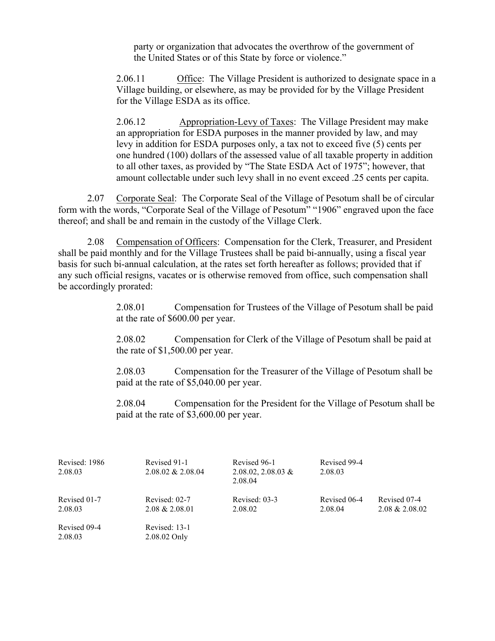party or organization that advocates the overthrow of the government of the United States or of this State by force or violence."

2.06.11 Office: The Village President is authorized to designate space in a Village building, or elsewhere, as may be provided for by the Village President for the Village ESDA as its office.

2.06.12 Appropriation-Levy of Taxes: The Village President may make an appropriation for ESDA purposes in the manner provided by law, and may levy in addition for ESDA purposes only, a tax not to exceed five (5) cents per one hundred (100) dollars of the assessed value of all taxable property in addition to all other taxes, as provided by "The State ESDA Act of 1975"; however, that amount collectable under such levy shall in no event exceed .25 cents per capita.

2.07 Corporate Seal: The Corporate Seal of the Village of Pesotum shall be of circular form with the words, "Corporate Seal of the Village of Pesotum" "1906" engraved upon the face thereof; and shall be and remain in the custody of the Village Clerk.

2.08 Compensation of Officers: Compensation for the Clerk, Treasurer, and President shall be paid monthly and for the Village Trustees shall be paid bi-annually, using a fiscal year basis for such bi-annual calculation, at the rates set forth hereafter as follows; provided that if any such official resigns, vacates or is otherwise removed from office, such compensation shall be accordingly prorated:

> 2.08.01 Compensation for Trustees of the Village of Pesotum shall be paid at the rate of \$600.00 per year.

> 2.08.02 Compensation for Clerk of the Village of Pesotum shall be paid at the rate of \$1,500.00 per year.

> 2.08.03 Compensation for the Treasurer of the Village of Pesotum shall be paid at the rate of \$5,040.00 per year.

> 2.08.04 Compensation for the President for the Village of Pesotum shall be paid at the rate of \$3,600.00 per year.

| Revised: 1986<br>2.08.03 | Revised 91-1<br>$2.08.02 \& 2.08.04$ | Revised 96-1<br>$2.08.02, 2.08.03 \&$<br>2.08.04 | Revised 99-4<br>2.08.03 |                                   |
|--------------------------|--------------------------------------|--------------------------------------------------|-------------------------|-----------------------------------|
| Revised 01-7<br>2.08.03  | Revised: 02-7<br>$2.08 \& 2.08.01$   | Revised: 03-3<br>2.08.02                         | Revised 06-4<br>2.08.04 | Revised 07-4<br>$2.08 \& 2.08.02$ |
| Revised 09-4<br>2.08.03  | Revised: 13-1<br>2.08.02 Only        |                                                  |                         |                                   |